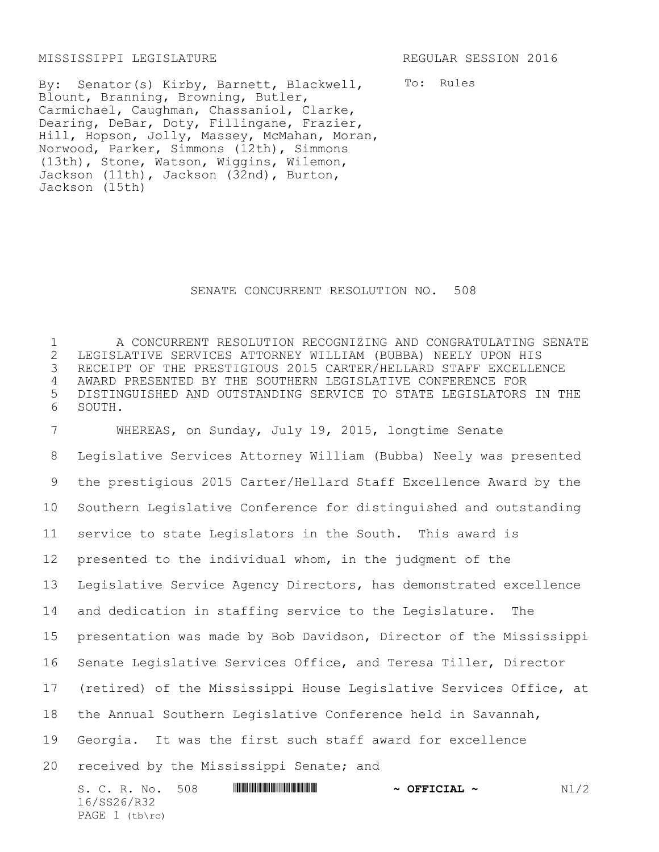## MISSISSIPPI LEGISLATURE REGULAR SESSION 2016

16/SS26/R32 PAGE 1 (tb\rc)

By: Senator(s) Kirby, Barnett, Blackwell, Blount, Branning, Browning, Butler, Carmichael, Caughman, Chassaniol, Clarke, Dearing, DeBar, Doty, Fillingane, Frazier, Hill, Hopson, Jolly, Massey, McMahan, Moran, Norwood, Parker, Simmons (12th), Simmons (13th), Stone, Watson, Wiggins, Wilemon, Jackson (11th), Jackson (32nd), Burton, Jackson (15th)

To: Rules

## SENATE CONCURRENT RESOLUTION NO. 508

 A CONCURRENT RESOLUTION RECOGNIZING AND CONGRATULATING SENATE LEGISLATIVE SERVICES ATTORNEY WILLIAM (BUBBA) NEELY UPON HIS RECEIPT OF THE PRESTIGIOUS 2015 CARTER/HELLARD STAFF EXCELLENCE AWARD PRESENTED BY THE SOUTHERN LEGISLATIVE CONFERENCE FOR DISTINGUISHED AND OUTSTANDING SERVICE TO STATE LEGISLATORS IN THE 6 SOUTH.

S. C. R. No. 508 **ASSEEM IN THE PROPERTION ASSEEM ~ OFFICIAL ~** N1/2 WHEREAS, on Sunday, July 19, 2015, longtime Senate Legislative Services Attorney William (Bubba) Neely was presented the prestigious 2015 Carter/Hellard Staff Excellence Award by the Southern Legislative Conference for distinguished and outstanding service to state Legislators in the South. This award is presented to the individual whom, in the judgment of the Legislative Service Agency Directors, has demonstrated excellence and dedication in staffing service to the Legislature. The presentation was made by Bob Davidson, Director of the Mississippi Senate Legislative Services Office, and Teresa Tiller, Director (retired) of the Mississippi House Legislative Services Office, at the Annual Southern Legislative Conference held in Savannah, Georgia. It was the first such staff award for excellence received by the Mississippi Senate; and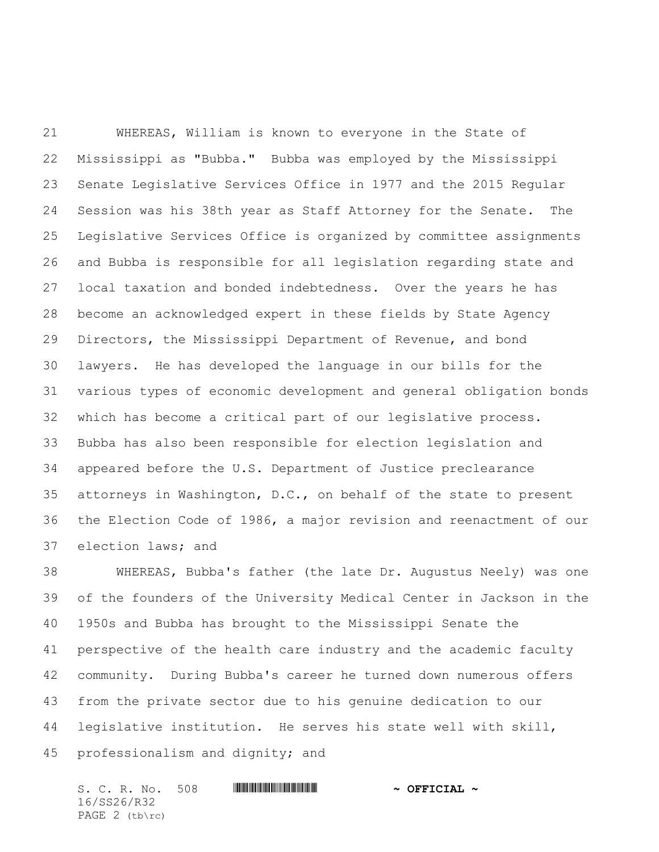WHEREAS, William is known to everyone in the State of Mississippi as "Bubba." Bubba was employed by the Mississippi Senate Legislative Services Office in 1977 and the 2015 Regular Session was his 38th year as Staff Attorney for the Senate. The Legislative Services Office is organized by committee assignments and Bubba is responsible for all legislation regarding state and local taxation and bonded indebtedness. Over the years he has become an acknowledged expert in these fields by State Agency Directors, the Mississippi Department of Revenue, and bond lawyers. He has developed the language in our bills for the various types of economic development and general obligation bonds which has become a critical part of our legislative process. Bubba has also been responsible for election legislation and appeared before the U.S. Department of Justice preclearance attorneys in Washington, D.C., on behalf of the state to present the Election Code of 1986, a major revision and reenactment of our election laws; and

 WHEREAS, Bubba's father (the late Dr. Augustus Neely) was one of the founders of the University Medical Center in Jackson in the 1950s and Bubba has brought to the Mississippi Senate the perspective of the health care industry and the academic faculty community. During Bubba's career he turned down numerous offers from the private sector due to his genuine dedication to our legislative institution. He serves his state well with skill, professionalism and dignity; and

S. C. R. No. 508 **\*\*\* WILLE AND \*\*\*\*** \*\*\* **\*\*\* OFFICIAL \*** 16/SS26/R32 PAGE 2 (tb\rc)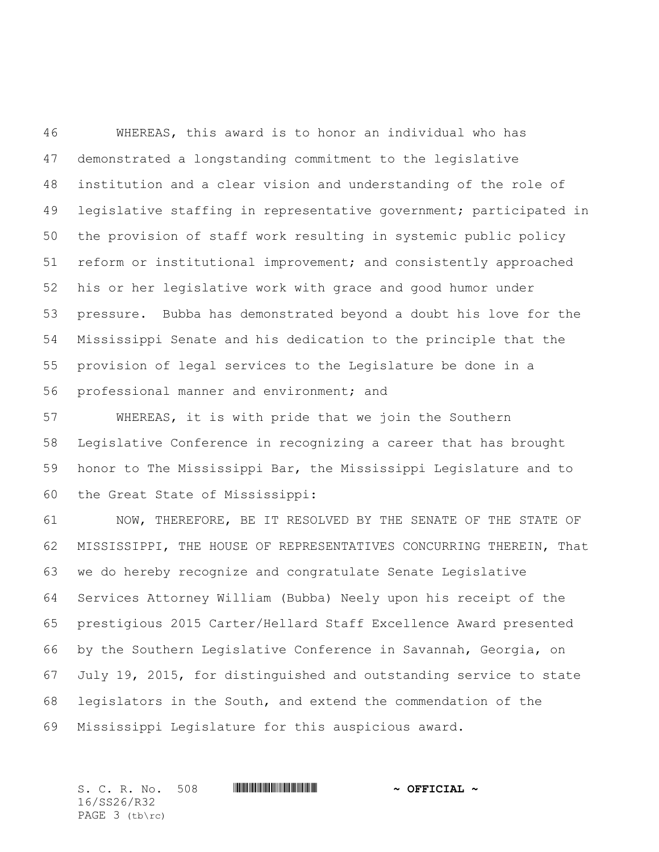WHEREAS, this award is to honor an individual who has demonstrated a longstanding commitment to the legislative institution and a clear vision and understanding of the role of legislative staffing in representative government; participated in the provision of staff work resulting in systemic public policy reform or institutional improvement; and consistently approached his or her legislative work with grace and good humor under pressure. Bubba has demonstrated beyond a doubt his love for the Mississippi Senate and his dedication to the principle that the provision of legal services to the Legislature be done in a professional manner and environment; and

 WHEREAS, it is with pride that we join the Southern Legislative Conference in recognizing a career that has brought honor to The Mississippi Bar, the Mississippi Legislature and to the Great State of Mississippi:

 NOW, THEREFORE, BE IT RESOLVED BY THE SENATE OF THE STATE OF MISSISSIPPI, THE HOUSE OF REPRESENTATIVES CONCURRING THEREIN, That we do hereby recognize and congratulate Senate Legislative Services Attorney William (Bubba) Neely upon his receipt of the prestigious 2015 Carter/Hellard Staff Excellence Award presented by the Southern Legislative Conference in Savannah, Georgia, on July 19, 2015, for distinguished and outstanding service to state legislators in the South, and extend the commendation of the Mississippi Legislature for this auspicious award.

S. C. R. No. 508 **\*\*\* WILLE AND \*\*\* \*\*\* OFFICIAL \*\*** 16/SS26/R32 PAGE 3 (tb\rc)